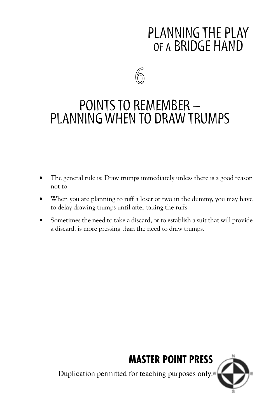

## POINTS TO REMEMBER – Planning when to draw trumps

- The general rule is: Draw trumps immediately unless there is a good reason not to.
- When you are planning to ruff a loser or two in the dummy, you may have to delay drawing trumps until after taking the ruffs.
- Sometimes the need to take a discard, or to establish a suit that will provide a discard, is more pressing than the need to draw trumps.

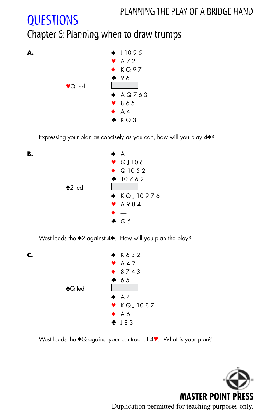## QUESTIONS

Chapter 6: Planning when to draw trumps



Expressing your plan as concisely as you can, how will you play  $4\spadesuit$ ?



West leads the  $\spadesuit 2$  against  $4\spadesuit$ . How will you plan the play?



West leads the  $\triangleleft$ Q against your contract of  $4$ . What is your plan?

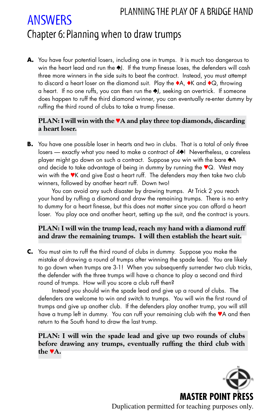### Chapter 6: Planning when to draw trumps ANSWERS

**A.** You have four potential losers, including one in trumps. It is much too dangerous to win the heart lead and run the  $\blacklozenge$ . If the trump finesse loses, the defenders will cash three more winners in the side suits to beat the contract. Instead, you must attempt to discard a heart loser on the diamond suit. Play the  $\blacklozenge$ A,  $\blacklozenge$ K and  $\blacklozenge$ G, throwing a heart. If no one ruffs, you can then run the  $\triangleleft$ , seeking an overtrick. If someone does happen to ruff the third diamond winner, you can eventually re-enter dummy by ruffing the third round of clubs to take a trump finesse.

#### **PLAN: I will win with the VA and play three top diamonds, discarding a heart loser.**

**B.** You have one possible loser in hearts and two in clubs. That is a total of only three losers — exactly what you need to make a contract of  $4\spadesuit$ ! Nevertheless, a careless player might go down on such a contract. Suppose you win with the bare  $A$ and decide to take advantage of being in dummy by running the  $\sqrt[n]{Q}$ . West may win with the  $\mathbb{V}$ K and give East a heart ruff. The defenders may then take two club winners, followed by another heart ruff. Down two!

You can avoid any such disaster by drawing trumps. At Trick 2 you reach your hand by ruffing a diamond and draw the remaining trumps. There is no entry to dummy for a heart finesse, but this does not matter since you can afford a heart loser. You play ace and another heart, setting up the suit, and the contract is yours.

#### **PLAN: I will win the trump lead, reach my hand with a diamond ruff and draw the remaining trumps. I will then establish the heart suit.**

**C.** You must aim to ruff the third round of clubs in dummy. Suppose you make the mistake of drawing a round of trumps after winning the spade lead. You are likely to go down when trumps are 3-1! When you subsequently surrender two club tricks, the defender with the three trumps will have a chance to play a second and third round of trumps. How will you score a club ruff then?

Instead you should win the spade lead and give up a round of clubs. The defenders are welcome to win and switch to trumps. You will win the first round of trumps and give up another club. If the defenders play another trump, you will still have a trump left in dummy. You can ruff your remaining club with the  $\mathbb{V}$ A and then return to the South hand to draw the last trump.

**PLAN: I will win the spade lead and give up two rounds of clubs before drawing any trumps, eventually ruffing the third club with the A.**

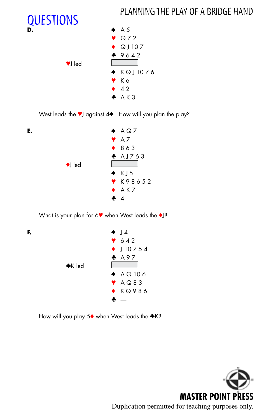

West leads the  $\vee$  against 4 $\spadesuit$ . How will you plan the play?



What is your plan for 6 $\blacktriangledown$  when West leads the  $\blacklozenge$   $\rfloor$ ?



How will you play 5<sup> $\bullet$ </sup> when West leads the  $\clubsuit$ K?